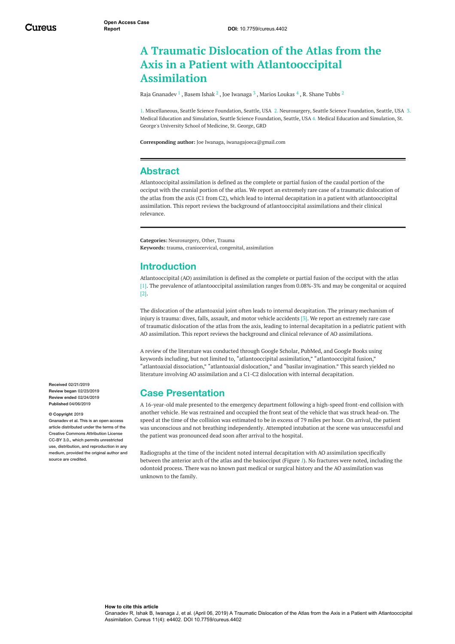# **A Traumatic Dislocation of the Atlas from the Axis in a Patient with Atlantooccipital Assimilation**

Raja [Gnanadev](https://www.cureus.com/users/104696-raja-gnanadev)  $^1$  , [Basem](https://www.cureus.com/users/104163-basem-ishak) Ishak  $^2$  , Joe [Iwanaga](https://www.cureus.com/users/29230-joe-iwanaga)  $^3$  , Marios [Loukas](https://www.cureus.com/users/19682-marios-loukas)  $^4$  , R. [Shane](https://www.cureus.com/users/19677-r-shane-tubbs) Tubbs  $^2$ 

1. Miscellaneous, Seattle Science Foundation, Seattle, USA 2. Neurosurgery, Seattle Science Foundation, Seattle, USA 3. Medical Education and Simulation, Seattle Science Foundation, Seattle, USA 4. Medical Education and Simulation, St. George's University School of Medicine, St. George, GRD

**Corresponding author:** Joe Iwanaga, iwanagajoeca@gmail.com

### **Abstract**

Atlantooccipital assimilation is defined as the complete or partial fusion of the caudal portion of the occiput with the cranial portion of the atlas. We report an extremely rare case of a traumatic dislocation of the atlas from the axis (C1 from C2), which lead to internal decapitation in a patient with atlantooccipital assimilation. This report reviews the background of atlantooccipital assimilations and their clinical relevance.

**Categories:** Neurosurgery, Other, Trauma **Keywords:** trauma, craniocervical, congenital, assimilation

## **Introduction**

Atlantooccipital (AO) assimilation is defined as the complete or partial fusion of the occiput with the atlas [1]. The prevalence of atlantooccipital assimilation ranges from 0.08%-3% and may be congenital or acquired [2].

The dislocation of the atlantoaxial joint often leads to internal decapitation. The primary mechanism of injury is trauma: dives, falls, assault, and motor vehicle accidents [3]. We report an extremely rare case of traumatic dislocation of the atlas from the axis, leading to internal decapitation in a pediatric patient with AO assimilation. This report reviews the background and clinical relevance of AO assimilations.

A review of the literature was conducted through Google Scholar, PubMed, and Google Books using keywords including, but not limited to, "atlantooccipital assimilation," "atlantooccipital fusion," "atlantoaxial dissociation," "atlantoaxial dislocation," and "basilar invagination." This search yielded no literature involving AO assimilation and a C1-C2 dislocation with internal decapitation.

# **Case Presentation**

A 16-year-old male presented to the emergency department following a high-speed front-end collision with another vehicle. He was restrained and occupied the front seat of the vehicle that was struck head-on. The speed at the time of the collision was estimated to be in excess of 79 miles per hour. On arrival, the patient was unconscious and not breathing independently. Attempted intubation at the scene was unsuccessful and the patient was pronounced dead soon after arrival to the hospital.

Radiographs at the time of the incident noted internal decapitation with AO assimilation specifically between the anterior arch of the atlas and the basiocciput (Figure *[1](#page-1-0)*). No fractures were noted, including the odontoid process. There was no known past medical or surgical history and the AO assimilation was unknown to the family.

**Received** 02/21/2019 **Review began** 02/23/2019 **Review ended** 02/24/2019 **Published** 04/06/2019

#### **© Copyright** 2019

dev et al. This is an open access article distributed under the terms of the Creative Commons Attribution License CC-BY 3.0., which permits unrestricted use, distribution, and reproduction in any medium, provided the original author and source are credited.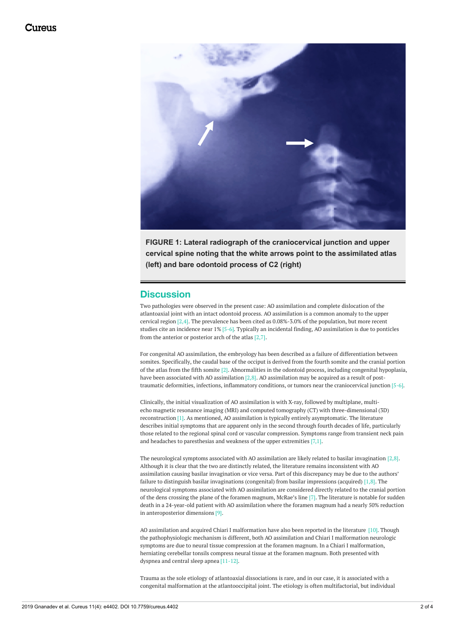<span id="page-1-0"></span>

**FIGURE 1: Lateral radiograph of the craniocervical junction and upper cervical spine noting that the white arrows point to the assimilated atlas (left) and bare odontoid process of C2 (right)**

### **Discussion**

Two pathologies were observed in the present case: AO assimilation and complete dislocation of the atlantoaxial joint with an intact odontoid process. AO assimilation is a common anomaly to the upper cervical region [2,4]. The prevalence has been cited as 0.08%-3.0% of the population, but more recent studies cite an incidence near 1% [5-6]. Typically an incidental finding, AO assimilation is due to ponticles from the anterior or posterior arch of the atlas [2,7].

For congenital AO assimilation, the embryology has been described as a failure of differentiation between somites. Specifically, the caudal base of the occiput is derived from the fourth somite and the cranial portion of the atlas from the fifth somite [2]. Abnormalities in the odontoid process, including congenital hypoplasia, have been associated with AO assimilation  $[2,8]$ . AO assimilation may be acquired as a result of posttraumatic deformities, infections, inflammatory conditions, or tumors near the craniocervical junction [5-6].

Clinically, the initial visualization of AO assimilation is with X-ray, followed by multiplane, multiecho magnetic resonance imaging (MRI) and computed tomography (CT) with three-dimensional (3D) reconstruction [1]. As mentioned, AO assimilation is typically entirely asymptomatic. The literature describes initial symptoms that are apparent only in the second through fourth decades of life, particularly those related to the regional spinal cord or vascular compression. Symptoms range from transient neck pain and headaches to paresthesias and weakness of the upper extremities [7,1].

The neurological symptoms associated with AO assimilation are likely related to basilar invagination [2,8]. Although it is clear that the two are distinctly related, the literature remains inconsistent with AO assimilation causing basilar invagination or vice versa. Part of this discrepancy may be due to the authors' failure to distinguish basilar invaginations (congenital) from basilar impressions (acquired) [1,8]. The neurological symptoms associated with AO assimilation are considered directly related to the cranial portion of the dens crossing the plane of the foramen magnum, McRae's line [7]. The literature is notable for sudden death in a 24-year-old patient with AO assimilation where the foramen magnum had a nearly 50% reduction in anteroposterior dimensions [9].

AO assimilation and acquired Chiari I malformation have also been reported in the literature [10]. Though the pathophysiologic mechanism is different, both AO assimilation and Chiari I malformation neurologic symptoms are due to neural tissue compression at the foramen magnum. In a Chiari I malformation, herniating cerebellar tonsils compress neural tissue at the foramen magnum. Both presented with dyspnea and central sleep apnea [11-12].

Trauma as the sole etiology of atlantoaxial dissociations is rare, and in our case, it is associated with a congenital malformation at the atlantooccipital joint. The etiology is often multifactorial, but individual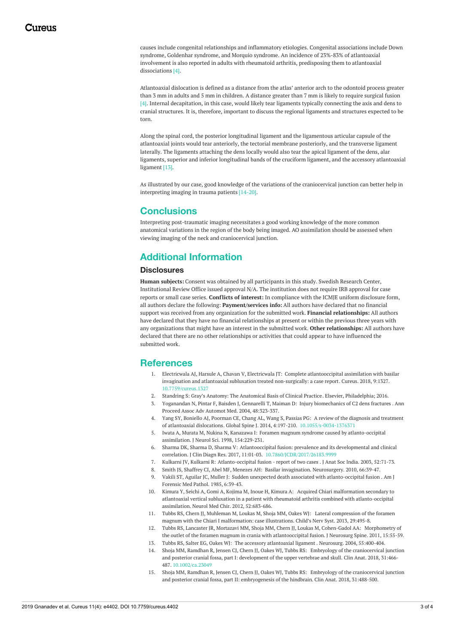causes include congenital relationships and inflammatory etiologies. Congenital associations include Down syndrome, Goldenhar syndrome, and Morquio syndrome. An incidence of 23%-83% of atlantoaxial involvement is also reported in adults with rheumatoid arthritis, predisposing them to atlantoaxial dissociations [4].

Atlantoaxial dislocation is defined as a distance from the atlas' anterior arch to the odontoid process greater than 3 mm in adults and 5 mm in children. A distance greater than 7 mm is likely to require surgical fusion [4]. Internal decapitation, in this case, would likely tear ligaments typically connecting the axis and dens to cranial structures. It is, therefore, important to discuss the regional ligaments and structures expected to be torn.

Along the spinal cord, the posterior longitudinal ligament and the ligamentous articular capsule of the atlantoaxial joints would tear anteriorly, the tectorial membrane posteriorly, and the transverse ligament laterally. The ligaments attaching the dens locally would also tear the apical ligament of the dens, alar ligaments, superior and inferior longitudinal bands of the cruciform ligament, and the accessory atlantoaxial ligament [13].

As illustrated by our case, good knowledge of the variations of the craniocervical junction can better help in interpreting imaging in trauma patients [14-20].

## **Conclusions**

Interpreting post-traumatic imaging necessitates a good working knowledge of the more common anatomical variations in the region of the body being imaged. AO assimilation should be assessed when viewing imaging of the neck and craniocervical junction.

# **Additional Information**

#### **Disclosures**

**Human subjects:** Consent was obtained by all participants in this study. Swedish Research Center, Institutional Review Office issued approval N/A. The institution does not require IRB approval for case reports or small case series. **Conflicts of interest:** In compliance with the ICMJE uniform disclosure form, all authors declare the following: **Payment/services info:** All authors have declared that no financial support was received from any organization for the submitted work. **Financial relationships:** All authors have declared that they have no financial relationships at present or within the previous three years with any organizations that might have an interest in the submitted work. **Other relationships:** All authors have declared that there are no other relationships or activities that could appear to have influenced the submitted work.

#### **References**

- 1. Electricwala AJ, Harsule A, Chavan V, Electricwala JT: Complete [atlantooccipital](https://dx.doi.org/10.7759/cureus.1327) assimilation with basilar invagination and atlantoaxial subluxation treated non-surgically: a case report. Cureus. 2018, 9:1327. [10.7759/cureus.1327](https://dx.doi.org/10.7759/cureus.1327)
- 2. Standring S: Gray's Anatomy: The [Anatomical](https://scholar.google.com/scholar?q=intitle:Gray%E2%80%99s Anatomy%3A The Anatomical Basis of Clinical Practice) Basis of Clinical Practice. Elsevier, Philadelphia; 2016.
- 3. Yoganandan N, Pintar F, Baisden J, Gennarelli T, Maiman D: Injury [biomechanics](http://www.ncbi.nlm.nih.gov/pubmed/15319133) of C2 dens fractures . Ann Proceed Assoc Adv Automot Med. 2004, 48:323-337.
- 4. Yang SY, Boniello AJ, Poorman CE, Chang AL, Wang S, Passias PG: A review of the diagnosis and treatment of atlantoaxial dislocations. Global Spine J. 2014, 4:197-210. [10.1055/s-0034-1376371](https://dx.doi.org/10.1055/s-0034-1376371)
- 5. Iwata A, Murata M, Nukina N, Kanazawa I: Foramen magnum syndrome caused by [atlanto-occipital](http://www.ncbi.nlm.nih.gov/pubmed/9562315) assimilation. J Neurol Sci. 1998, 154:229-231.
- 6. Sharma DK, Sharma D, Sharma V: Atlantooccipital fusion: prevalence and its developmental and clinical correlation. J Clin Diagn Res. 2017, 11:01-03. 10.7860/JCDR/2017/26183.9
- 7. Kulkarni JV, Kulkarni R: [Atlanto-occipital](http://medind.nic.in/jae/t03/i1/jaet03i1p71.pdf) fusion report of two cases . J Anat Soc India. 2003, 52:71-73.
- 8. Smith JS, Shaffrey CI, Abel MF, Menezes AH: Basilar [invagination](http://www.ncbi.nlm.nih.gov/pubmed/20173526). Neurosurgery. 2010, 66:39-47.
- 9. Vakili ST, Aguilar JC, Muller J: Sudden unexpected death associated with [atlanto-occipital](http://www.ncbi.nlm.nih.gov/pubmed/3984982) fusion . Am J Forensic Med Pathol. 1985, 6:39-43.
- 10. Kimura Y, Seichi A, Gomi A, Kojima M, Inoue H, Kimura A: Acquired Chiari malformation secondary to atlantoaxial vertical subluxation in a patient with rheumatoid arthritis combined with [atlanto-occipital](http://www.ncbi.nlm.nih.gov/pubmed/23006887) assimilation. Neurol Med Chir. 2012, 52:683-686.
- 11. Tubbs RS, Chern JJ, Muhleman M, Loukas M, Shoja MM, Oakes WJ: Lateral compression of the foramen magnum with the Chiari I [malformation:](http://link.springer.com/10.1007/s00381-012-1750-8) case illustrations. Child's Nerv Syst. 2013, 29:495-8.
- 12. Tubbs RS, Lancaster JR, Mortazavi MM, Shoja MM, Chern JJ, Loukas M, Cohen-Gadol AA: Morphometry of the outlet of the foramen magnum in crania with [atlantooccipital](http://thejns.org/doi/10.3171/2011.3.SPINE10828) fusion. J Neurosurg Spine. 2011, 15:55-59.
- 13. Tubbs RS, Salter EG, Oakes WJ: The accessory [atlantoaxial](http://www.ncbi.nlm.nih.gov/pubmed/15271248) ligament . Neurosurg. 2004, 55:400-404.
- 14. Shoja MM, Ramdhan R, Jensen CJ, Chern JJ, Oakes WJ, Tubbs RS: Embryology of the [craniocervical](https://dx.doi.org/10.1002/ca.23049) junction and posterior cranial fossa, part I: development of the upper vertebrae and skull. Clin Anat. 2018, 31:466- 487. [10.1002/ca.23049](https://dx.doi.org/10.1002/ca.23049)
- 15. Shoja MM, Ramdhan R, Jensen CJ, Chern JJ, Oakes WJ, Tubbs RS: Embryology of the craniocervical junction and posterior cranial fossa, part II: [embryogenesis](https://dx.doi.org/10.1002/ca.23048) of the hindbrain. Clin Anat. 2018, 31:488-500.